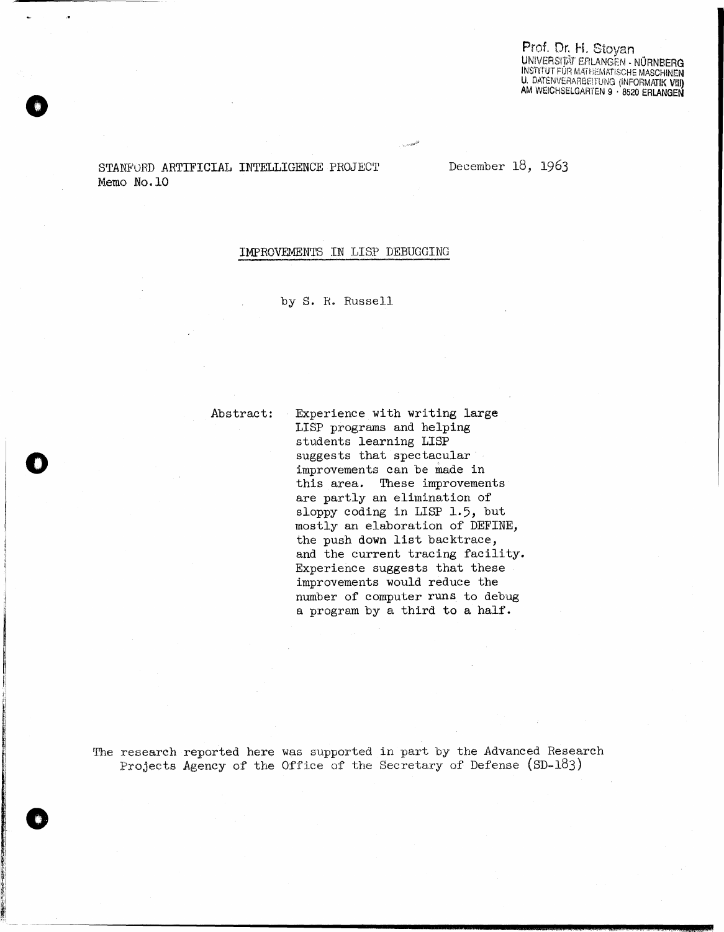Prof. Dr. H. Stoyan UNIVERSITÄT EFILANGEN - NÜRNBERG **INSTITUT FÜR MATHEMATISCHE MASCHINEN** U. DATENVERARGEITUNG (INFORMATIK VIII) AM WEICHSELGARTEN 9 · 8520 ERLANGEN

STANFORD ARTIFICIAL INTELLIGENCE PROJECT Memo No.10

December 18, 1963

# IMPROVEMENTS IN LISP DEBUGGING

by S. R. Russell

Abstract:

Experience with writing large LISP programs and helping students learning LISP suggests that spectacular improvements can be made in this area. These improvements are partly an elimination of sloppy coding in LISP 1.5, but mostly an elaboration of DEFINE, the push down list backtrace, and the current tracing facility. Experience suggests that these improvements would reduce the number of computer runs to debug a program by a third to a half.

The research reported here was supported in part by the Advanced Research Projects Agency of the Office of the Secretary of Defense  $(SD-183)$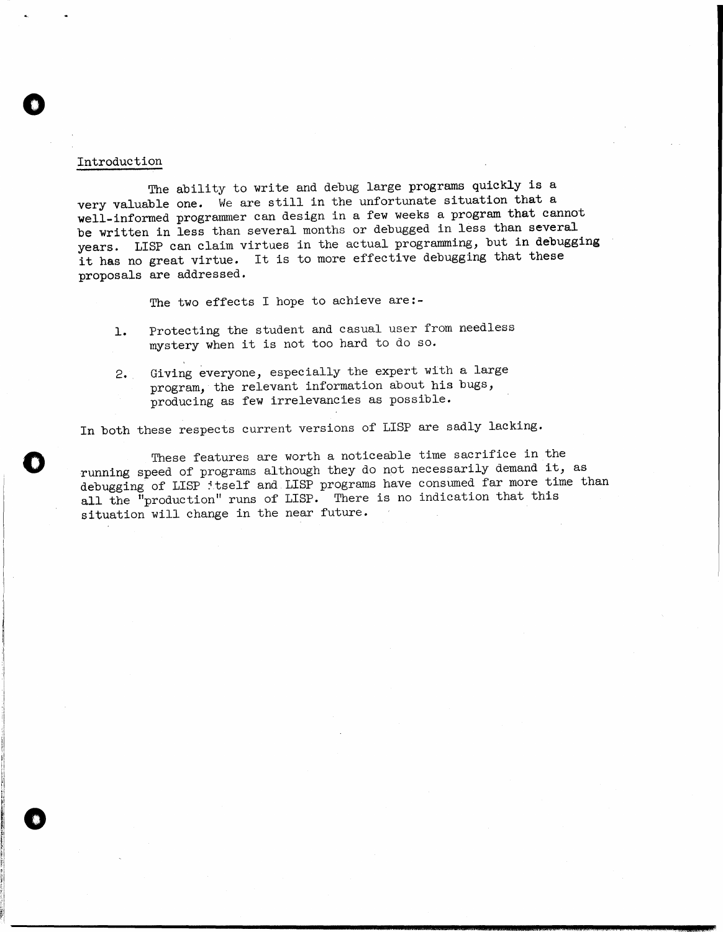# Introduction

o

o

o

The ability to write and debug large programs quickly is a very valuable one. We are still in the unfortunate situation that a well-informed programmer can design in a few weeks a program that cannot be written in less than several months or debugged in less than several years. LISP can claim virtues in the actual programming, but in debugging it has no great virtue. It is to more effective debugging that these proposals are addressed.

The two effects I hope to achieve are:-

- 1. Protecting the student and casual user from needless mystery when it is not too hard to do so.
- 2. Giving everyone, especially the expert with a large program, the relevant information about his bugs, producing as few irrelevancies as possible.

In both these respects current versions of LISP are sadly lacking.

These features are worth a noticeable time sacrifice in the running speed of programs although they do not necessarily demand it, as debugging of LISP : tself and LISP programs have consumed far more time than all the "production" runs of LISP. There is no indication that this situation will change in the near future.

**euauuzu:aes&** ithiiUi ii4 \$ \\$ .£S2,;o11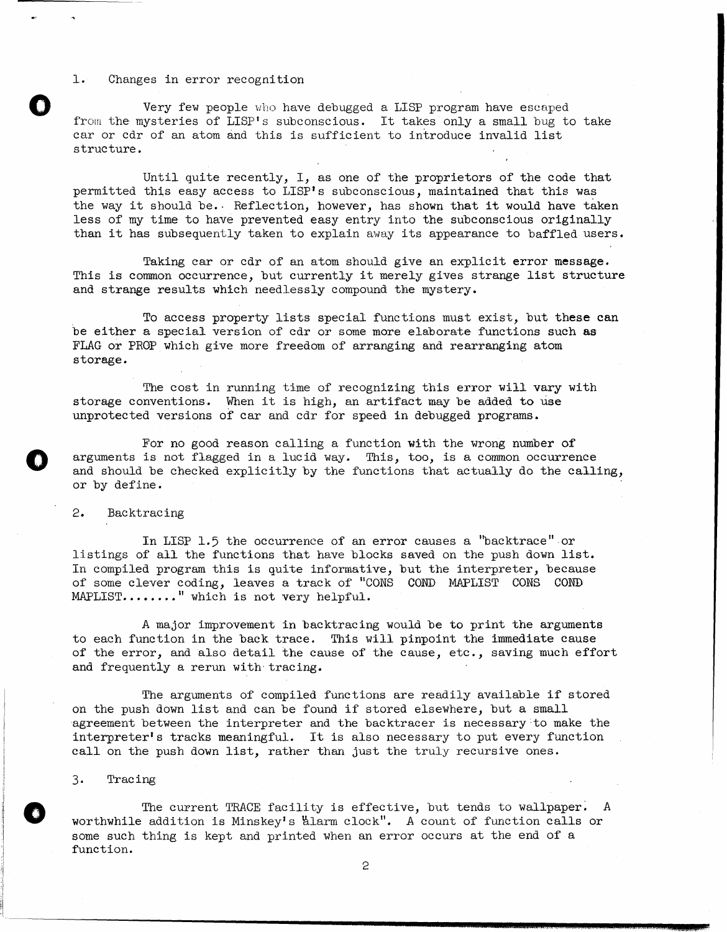#### 1. Changes in error recognition

Very few people who have debugged a LISP program have escaped from the mysteries of LISP's subconscious. It takes only a small bug to take car or cdr of an atom and this is sufficient to introduce invalid list structure.

Until quite recently, I, as one of the proprietors of the code that permitted this easy access to LISP's subconscious, maintained that this was the way it should be.· Reflection, however, has shown that it would have taken less of my time to have prevented easy entry into the subconscious originally than it has subsequently taken to explain away its appearance to baffled users.

Taking car or cdr of an atom should give an explicit error message. This is common occurrence, but currently it merely gives strange list structure and strange results which needlessly compound the mystery.

To access property lists special functions must exist, but these can be either a special version of cdr or some more elaborate functions such as FLAG or PROP which give more freedom of arranging and rearranging atom storage.

The cost in running time of recognizing this error will vary with storage conventions. When it is high, an artifact may be added to use unprotected versions of car and cdr for speed in debugged programs.

For no good reason calling a function with the wrong number of arguments is not flagged in a lucid way. This, too, is a common occurrence and should be checked explicitly by the functions that actually do the calling, or by define.

# 2. Backtracing

o

o

In LISP 1.5 the occurrence of an error causes a "backtrace" or listings of all the functions that have blocks saved on the push down list. In compiled program this is quite informative, but the interpreter, because of some clever coding, leaves a track of "CONS COND MAPLIST CONS COND  $MAPLIST... \ldots$  " which is not very helpful.

A major improvement in backtracing would be to print the arguments to each function in the back trace. This will pinpoint the immediate cause of the error, and also detail the cause of the cause, etc., saving much effort and frequently a rerun with tracing.

The arguments of compiled functions are readily available if stored on the push down list and can be found if stored elsewhere, but a small agreement between the interpreter and the backtracer is necessary to make the interpreter's tracks meaningful. It is also necessary to put every function call on the push down list, rather than just the truly recursive ones.

#### 3. Tracing

The current TRACE facility is effective, but tends to wallpaper. A worthwhile addition is Minskey's Llarm clock". A count of function calls or some such thing is kept and printed when an error occurs at the end of a function.

2

**Ea** sua k, .\,. . **MS** .. a , .. k#.iZl J. ,.2L.; L, iU) 1 ,